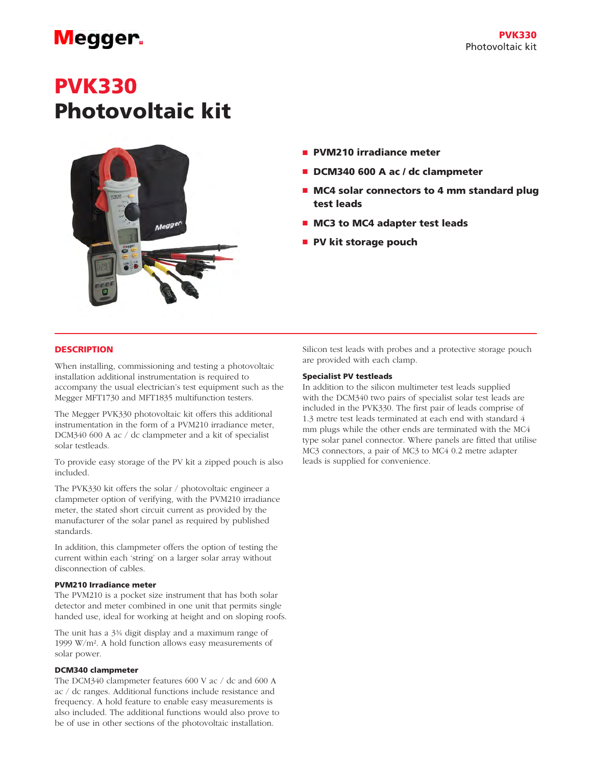## Megger.

# PVK330 Photovoltaic kit



- PVM210 irradiance meter
- DCM340 600 A ac / dc clampmeter
- MC4 solar connectors to 4 mm standard plug test leads
- MC3 to MC4 adapter test leads
- PV kit storage pouch

### **DESCRIPTION**

When installing, commissioning and testing a photovoltaic installation additional instrumentation is required to accompany the usual electrician's test equipment such as the Megger MFT1730 and MFT1835 multifunction testers.

The Megger PVK330 photovoltaic kit offers this additional instrumentation in the form of a PVM210 irradiance meter, DCM340 600 A ac / dc clampmeter and a kit of specialist solar testleads.

To provide easy storage of the PV kit a zipped pouch is also included.

The PVK330 kit offers the solar / photovoltaic engineer a clampmeter option of verifying, with the PVM210 irradiance meter, the stated short circuit current as provided by the manufacturer of the solar panel as required by published standards.

In addition, this clampmeter offers the option of testing the current within each 'string' on a larger solar array without disconnection of cables.

#### PVM210 Irradiance meter

The PVM210 is a pocket size instrument that has both solar detector and meter combined in one unit that permits single handed use, ideal for working at height and on sloping roofs.

The unit has a 3¾ digit display and a maximum range of 1999 W/m². A hold function allows easy measurements of solar power.

#### DCM340 clampmeter

The DCM340 clampmeter features 600 V ac / dc and 600 A ac / dc ranges. Additional functions include resistance and frequency. A hold feature to enable easy measurements is also included. The additional functions would also prove to be of use in other sections of the photovoltaic installation.

Silicon test leads with probes and a protective storage pouch are provided with each clamp.

#### Specialist PV testleads

In addition to the silicon multimeter test leads supplied with the DCM340 two pairs of specialist solar test leads are included in the PVK330. The first pair of leads comprise of 1.3 metre test leads terminated at each end with standard 4 mm plugs while the other ends are terminated with the MC4 type solar panel connector. Where panels are fitted that utilise MC3 connectors, a pair of MC3 to MC4 0.2 metre adapter leads is supplied for convenience.